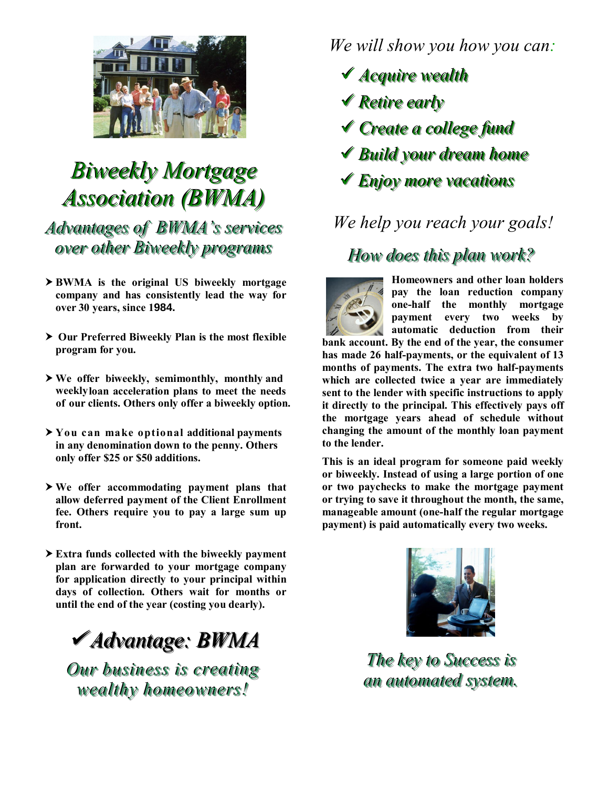

# *Biweekly Mortgage Association (BWMA)*

Advantages of **BWMA**'s services *over other Biweekly programs* 

- **BWMA is the original US biweekly mortgage company and has consistently lead the way for over 30 years, since 1984.**
- **Our Preferred Biweekly Plan is the most flexible program for you.**
- **We offer biweekly, semimonthly, monthly and weeklyloan acceleration plans to meet the needs of our clients. Others only offer a biweekly option.**
- **You can make optional additional payments in any denomination down to the penny. Others only offer \$25 or \$50 additions.**
- **We offer accommodating payment plans that allow deferred payment of the Client Enrollment fee. Others require you to pay a large sum up front.**
- **Extra funds collected with the biweekly payment plan are forwarded to your mortgage company for application directly to your principal within days of collection. Others wait for months or until the end of the year (costing you dearly).**

*AAddvvaannttaaggee:: BBWWMMAA*

*Our business is creating wealthy homeowners!* 

*We will show you how you can:* 

- **√ Acquire wealth**
- **√ Retire early**
- **√ Create** a college fund
- **★ Build your dream home**
- **√ Enjoy more vacations**

# *We help you reach your goals!*

#### *How does this plan work?*



**Homeowners and other loan holders pay the loan reduction company one-half the monthly mortgage payment every two weeks by automatic deduction from their bank account. By the end of the year, the consumer has made 26 half-payments, or the equivalent of 13 months of payments. The extra two half-payments which are collected twice a year are immediately sent to the lender with specific instructions to apply it directly to the principal. This effectively pays off the mortgage years ahead of schedule without changing the amount of the monthly loan payment to the lender.** 

**This is an ideal program for someone paid weekly or biweekly. Instead of using a large portion of one or two paychecks to make the mortgage payment or trying to save it throughout the month, the same, manageable amount (one-half the regular mortgage payment) is paid automatically every two weeks.** 



*The key to Success is an automated system.*